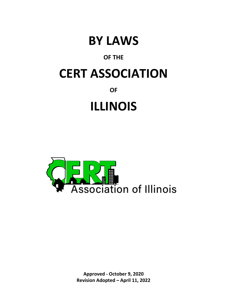

# **OF THE**

# **CERT ASSOCIATION**

**OF** 

# **ILLINOIS**



**Approved - October 9, 2020 Revision Adopted – April 11, 2022**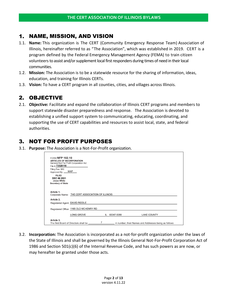## 1. NAME, MISSION, AND VISION

- 1.1. **Name:** This organization is The CERT (Community Emergency Response Team) Association of Illinois, hereinafter referred to as "The Association", which was established in 2019. CERT is a program defined by the Federal Emergency Management Agency (FEMA) to train citizen volunteers to assist and/or supplement local first responders during times of need in their local communities.
- 1.2. **Mission:** The Association is to be a statewide resource for the sharing of information, ideas, education, and training for Illinois CERTs.
- 1.3. **Vision:** To have a CERT program in all counties, cities, and villages across Illinois.

## 2. OBJECTIVE

2.1. **Objective:** Facilitate and expand the collaboration of Illinois CERT programs and members to support statewide disaster preparedness and response. The Association is devoted to establishing a unified support system to communicating, educating, coordinating, and supporting the use of CERT capabilities and resources to assist local, state, and federal authorities.

# 3. NOT FOR PROFIT PURPOSES

3.1. **Purpose:** The Association is a Not-For-Profit organization.

| File # 73520118                                                                |                                                  |  |  |
|--------------------------------------------------------------------------------|--------------------------------------------------|--|--|
| Filing Fee: \$50<br>MAP<br>Approved By: __                                     |                                                  |  |  |
| <b>FILED</b><br>DEC 06 2021<br><b>Jesse White</b><br><b>Secretary of State</b> |                                                  |  |  |
| Article 1.                                                                     |                                                  |  |  |
|                                                                                | Corporate Name: THE CERT ASSOCIATION OF ILLINOIS |  |  |
|                                                                                |                                                  |  |  |
| Article 2.                                                                     |                                                  |  |  |
| Registered Agent: DAVID RIDDLE                                                 |                                                  |  |  |
|                                                                                | Registered Office: 1165 OLD MCHENRY RD           |  |  |

3.2. **Incorporation:** The Association is incorporated as a not-for-profit organization under the laws of the State of Illinois and shall be governed by the Illinois General Not-For-Profit Corporation Act of 1986 and Section 501(c)(6) of the Internal Revenue Code, and has such powers as are now, or may hereafter be granted under those acts.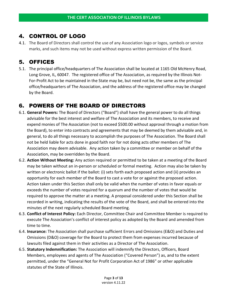# 4. CONTROL OF LOGO

4.1. The Board of Directors shall control the use of any Association logo or logos, symbols or service marks, and such items may not be used without express written permission of the Board.

# 5. OFFICES

5.1. The principal office/headquarters of The Association shall be located at 1165 Old McHenry Road, Long Grove, IL, 60047. The registered office of The Association, as required by the Illinois Not-For-Profit Act to be maintained in the State may be, but need not be, the same as the principal office/headquarters of The Association, and the address of the registered office may be changed by the Board.

# 6. POWERS OF THE BOARD OF DIRECTORS

- 6.1. **General Powers:** The Board of Directors ("Board") shall have the general power to do all things advisable for the best interest and welfare of The Association and its members, to receive and expend monies of The Association (not to exceed \$500.00 without approval through a motion from the Board), to enter into contracts and agreements that may be deemed by them advisable and, in general, to do all things necessary to accomplish the purposes of The Association. The Board shall not be held liable for acts done in good faith nor for not doing acts other members of The Association may deem advisable. Any action taken by a committee or member on behalf of the Association, may be overridden by the Board.
- 6.2. **Action Without Meeting:** Any action required or permitted to be taken at a meeting of the Board may be taken without an in-person or scheduled or formal meeting. Action may also be taken by written or electronic ballot if the ballot: (i) sets forth each proposed action and (ii) provides an opportunity for each member of the Board to cast a vote for or against the proposed action. Action taken under this Section shall only be valid when the number of votes in favor equals or exceeds the number of votes required for a quorum and the number of votes that would be required to approve the matter at a meeting. A proposal considered under this Section shall be recorded in writing, indicating the results of the vote of the Board, and shall be entered into the minutes of the next regularly scheduled Board meeting.
- 6.3. **Conflict of Interest Policy:** Each Director, Committee Chair and Committee Member is required to execute The Association's conflict of interest policy as adopted by the Board and amended from time to time.
- 6.4. **Insurance:** The Association shall purchase sufficient Errors and Omissions (E&O) and Duties and Omissions (D&O) coverage for the Board to protect them from expenses incurred because of lawsuits filed against them in their activities as a Director of The Association.
- 6.5. **Statutory Indemnification:** The Association will indemnify the Directors, Officers, Board Members, employees and agents of The Association ("Covered Person") as, and to the extent permitted, under the "General Not for Profit Corporation Act of 1986" or other applicable statutes of the State of Illinois.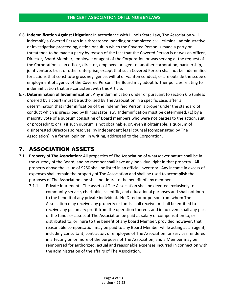- 6.6. **Indemnification Against Litigation:** In accordance with Illinois State Law, The Association will indemnify a Covered Person in a threatened, pending or completed civil, criminal, administrative or investigative proceeding, action or suit in which the Covered Person is made a party or threatened to be made a party by reason of the fact that the Covered Person is or was an officer, Director, Board Member, employee or agent of the Corporation or was serving at the request of the Corporation as an officer, director, employee or agent of another corporation, partnership, joint venture, trust or other enterprise, except that such Covered Person shall not be indemnified for actions that constitute gross negligence, willful or wanton conduct, or are outside the scope of employment of agency of the Covered Person. The Board may adopt further policies relating to indemnification that are consistent with this Article.
- 6.7. **Determination of Indemnification:** Any indemnification under or pursuant to section 6.6 (unless ordered by a court) must be authorized by The Association in a specific case, after a determination that indemnification of the Indemnified Person is proper under the standard of conduct which is prescribed by Illinois state law. Indemnification must be determined: (1) by a majority vote of a quorum consisting of Board members who were not parties to the action, suit or proceeding; or (ii) if such quorum is not obtainable, or, even if obtainable, a quorum of disinterested Directors so resolves, by independent legal counsel (compensated by The Association) in a formal opinion, in writing, addressed to the Corporation.

# 7. ASSOCIATION ASSETS

- 7.1. **Property of The Association:** All properties of The Association of whatsoever nature shall be in the custody of the Board, and no member shall have any individual right in that property. All property above the value of \$250 shall be listed in an official inventory. Any income in excess of expenses shall remain the property of The Association and shall be used to accomplish the purposes of The Association and shall not inure to the benefit of any member.
	- 7.1.1. Private Inurement The assets of The Association shall be devoted exclusively to community service, charitable, scientific, and educational purposes and shall not inure to the benefit of any private individual. No Director or person from whom The Association may receive any property or funds shall receive or shall be entitled to receive any pecuniary profit from the operation thereof, and in no event shall any part of the funds or assets of The Association be paid as salary of compensation to, or distributed to, or inure to the benefit of any board Member, provided however, that reasonable compensation may be paid to any Board Member while acting as an agent, including consultant, contractor, or employee of The Association for services rendered in affecting on or more of the purposes of The Association, and a Member may be reimbursed for authorized, actual and reasonable expenses incurred in connection with the administration of the affairs of The Association.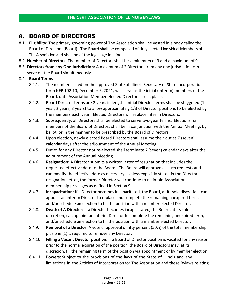## 8. BOARD OF DIRECTORS

- 8.1. **Eligibility:** The primary governing power of The Association shall be vested in a body called the Board of Directors (Board). The Board shall be composed of duly elected Individual Members of The Association and shall be of the legal age in Illinois.
- 8.2. **Number of Directors:** The number of Directors shall be a minimum of 3 and a maximum of 9.
- 8.3. **Directors from any One Jurisdiction:** A maximum of 2 Directors from any one jurisdiction can serve on the Board simultaneously.

## 8.4. **Board Terms**

- 8.4.1. The members listed on the approved State of Illinois Secretary of State Incorporation form NFP 102.10, December 6, 2021, will serve as the initial (Interim) members of the Board, until Association Member elected Directors are in place.
- 8.4.2. Board Director terms are 2 years in length. Initial Director terms shall be staggered (1 year, 2 years, 3 years) to allow approximately 1/3 of Director positions to be elected by the members each year. Elected Directors will replace Interim Directors.
- 8.4.3. Subsequently, all Directors shall be elected to serve two-year terms. Elections for members of the Board of Directors shall be in conjunction with the Annual Meeting, by ballot, or in the manner to be prescribed by the Board of Directors.
- 8.4.4. Upon election, newly elected Board Directors shall assume their duties 7 (seven) calendar days after the adjournment of the Annual Meeting.
- 8.4.5. Duties for any Director not re-elected shall terminate 7 (seven) calendar days after the adjournment of the Annual Meeting.
- 8.4.6. **Resignation:** A Director submits a written letter of resignation that includes the requested effective date to the Board. The Board will approve all such requests and can modify the effective date as necessary. Unless explicitly stated in the Director resignation letter, the former Director will continue to maintain Association membership privileges as defined in Section 9.
- 8.4.7. **Incapacitation**: If a Director becomes incapacitated, the Board, at its sole discretion, can appoint an interim Director to replace and complete the remaining unexpired term, and/or schedule an election to fill the position with a member elected Director.
- 8.4.8. **Death of A Director:** If a Director becomes incapacitated, the Board, at its sole discretion, can appoint an interim Director to complete the remaining unexpired term, and/or schedule an election to fill the position with a member elected Director.
- 8.4.9. **Removal of a Director:** A vote of approval of fifty percent (50%) of the total membership plus one (1) is required to remove any Director.
- 8.4.10. **Filling a Vacant Director position:** If a Board of Director position is vacated for any reason prior to the normal expiration of the position, the Board of Directors may, at its discretion, fill the remaining term of the position via appointment or by member election.
- 8.4.11. **Powers:** Subject to the provisions of the laws of the State of Illinois and any limitations in the Articles of Incorporation for The Association and these Bylaws relating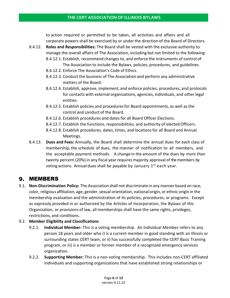#### **THE CERT ASSOCIATION OF ILLINOIS BYLAWS**

to action required or permitted to be taken, all activities and affairs and all corporate powersshall be exercised by or under the direction of the Board of Directors.

- 8.4.12. **Roles and Responsibilities:** The Board shall be vested with the exclusive authority to manage the overall affairs of The Association, including but not limited to the following:
	- 8.4.12.1. Establish, recommend changes to, and enforce the instruments of control of The Association to include the Bylaws, policies, procedures, and guidelines.
	- 8.4.12.2. Enforce The Association's Code of Ethics.
	- 8.4.12.3. Conduct the business of The Association and perform any administrative matters of the Board.
	- 8.4.12.4. Establish, approve, implement, and enforce policies, procedures, and protocols for contacts with external organizations, agencies, individuals, and other legal entities.
	- 8.4.12.5. Establish policies and proceduresfor Board appointments, as well as the control and conduct of the Board.
	- 8.4.12.6. Establish procedures and dates for all Board Officer Elections.
	- 8.4.12.7. Establish the functions, responsibilities, and authority of elected Officers.
	- 8.4.12.8. Establish procedures, dates, times, and locations for all Board and Annual Meetings.
- 8.4.13. **Dues and Fees:** Annually, the Board shall determine the annual dues for each class of membership, the schedule of dues, the manner of notification to all members, and the acceptable payment methods. A change in the amount of the dues by more than twenty percent (20%) in any fiscal year requires majority approval of themembers by voting actions. Annual dues shall be payable by January 1<sup>st</sup> each year.

## 9. MEMBERS

9.1. **Non-Discrimination Policy:** The Association shall not discriminate in any manner based on race, color, religious affiliation, age, gender, sexual orientation, national origin, or ethnic origin in the membership evaluation and the administration of its policies, procedures, or programs. Except as expressly provided in or authorized by the Articles of Incorporation, the Bylaws of this Organization, or provisions of law, all memberships shall have the same rights, privileges, restrictions, and conditions.

## 9.2. **Member Eligibility and Classifications**

- 9.2.1. **Individual Member:** This is a voting membership. An Individual Member refers to any person 18 years and older who i) is a current member in good standing with an Illinois or surrounding states CERT team, or ii) has successfully completed the CERT Basic Training program, or iii) is a member or former member of a recognized emergency services organization.
- 9.2.2. **Supporting Member:** This is a non-voting membership. This includes non-CERT affiliated individuals and supporting organizations that have established strong relationships or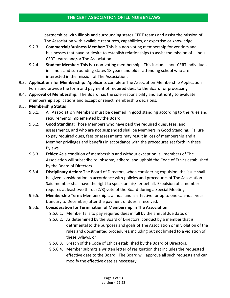partnerships with Illinois and surrounding states CERT teams and assist the mission of The Association with available resources, capabilities, or expertise or knowledge.

- 9.2.3. **Commercial/Business Member:** This is a non-voting membership for vendors and businesses that have or desire to establish relationships to assist the mission of Illinois CERT teams and/or The Association.
- 9.2.4. **Student Member:** This is a non-voting membership. This includes non-CERT individuals in Illinois and surrounding states 18 years and older attending school who are interested in the mission of The Association.
- 9.3. **Applications for Membership:** Applicants complete The Association Membership Application Form and provide the form and payment of required dues to the Board for processing.
- 9.4. **Approval of Membership:** The Board has the sole responsibility and authority to evaluate membership applications and accept or reject membership decisions.

## 9.5. **Membership Status**

- 9.5.1. All Association Members must be deemed in good standing according to the rules and requirementsimplemented by the Board.
- 9.5.2. **Good Standing:** Those Members who have paid the required dues, fees, and assessments, and who are not suspended shall be Members in Good Standing. Failure to pay required dues, fees or assessments may result in loss of membership and all Member privileges and benefits in accordance with the procedures set forth in these Bylaws.
- 9.5.3. **Ethics:** As a condition of membership and without exception, all members of The Association will subscribe to, observe, adhere, and uphold the Code of Ethics established by the Board of Directors.
- 9.5.4. **Disciplinary Action:** The Board of Directors, when considering expulsion, the issue shall be given consideration in accordance with policies and procedures of The Association. Said member shall have the right to speak on his/her behalf. Expulsion of a member requires at least two thirds (2/3) vote of the Board during a Special Meeting.
- 9.5.5. **Membership Term:** Membership is annual and is effective for up to one calendar year (January to December) after the payment of dues is received.

## 9.5.6. **Consideration for Termination of Membership in The Association**:

- 9.5.6.1. Memberfails to pay required dues in full by the annual due date, or
- 9.5.6.2. As determined by the Board of Directors, conduct by a member that is detrimental to the purposes and goals of The Association or in violation of the rules and documented procedures, including but not limited to a violation of these Bylaws, or
- 9.5.6.3. Breach of the Code of Ethics established by the Board of Directors.
- 9.5.6.4. Member submits a written letter of resignation that includes the requested effective date to the Board. The Board will approve all such requests and can modify the effective date as necessary.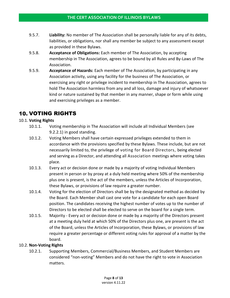- 9.5.7. **Liability:** No member of The Association shall be personally liable for any of its debts, liabilities, or obligations, nor shall any member be subject to any assessment except as provided in these Bylaws.
- 9.5.8. **Acceptance of Obligations:** Each member of The Association, by accepting membership in The Association, agrees to be bound by all Rules and By-Laws of The Association.
- 9.5.9. **Acceptance of Hazards:** Each member of The Association, by participating in any Association activity, using any facility for the business of The Association, or exercising any right or privilege incident to membership in The Association, agrees to hold The Association harmless from any and all loss, damage and injury of whatsoever kind or nature sustained by that member in any manner, shape or form while using and exercising privileges as a member.

# 10. VOTING RIGHTS

## 10.1. **Voting Rights**

- 10.1.1. Voting membership in The Association will include all Individual Members (see 9.2.2.1) in good standing.
- 10.1.2. Voting Members shall have certain expressed privileges extended to them in accordance with the provisions specified by these Bylaws. These include, but are not necessarily limited to, the privilege of voting for Board Directors, being elected and serving as a Director, and attending all Association meetings where voting takes place.
- 10.1.3. Every act or decision done or made by a majority of voting Individual Members present in person or by proxy at a duly held meeting where 50% of the membership plus one is present, is the act of the members, unless the Articles of Incorporation, these Bylaws, or provisions of law require a greater number.
- 10.1.4. Voting for the election of Directors shall be by the designated method as decided by the Board. Each Member shall cast one vote for a candidate for each open Board position. The candidates receiving the highest number of votes up to the number of Directors to be elected shall be elected to serve on the board for a single term.
- 10.1.5. Majority Every act or decision done or made by a majority of the Directors present at a meeting duly held at which 50% of the Directors plus one, are present is the act of the Board, unless the Articles of Incorporation, these Bylaws, or provisions of law require a greater percentage or different voting rules for approval of a matter by the board.

#### 10.2. **Non-Voting Rights**

10.2.1. Supporting Members, Commercial/Business Members, and Student Members are considered "non-voting" Members and do not have the right to vote in Association matters.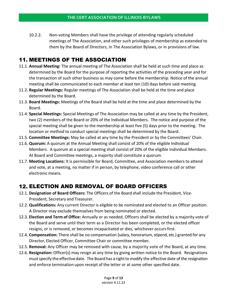10.2.2. Non-voting Members shall have the privilege of attending regularly scheduled meetings of The Association, and other such privileges of membership as extended to them by the Board of Directors, in The Association Bylaws, or in provisions of law.

# 11. MEETINGS OF THE ASSOCIATION

- 11.1. **Annual Meeting:** The annual meeting of The Association shall be held at such time and place as determined by the Board for the purpose of reporting the activities of the preceding year and for the transaction of such other business as may come before the membership. Notice of the annual meeting shall be communicated to each member at least ten (10) days before said meeting.
- 11.2. **Regular Meetings:** Regular meetings of The Association shall be held at the time and place determined by the Board.
- 11.3. **Board Meetings:** Meetings of the Board shall be held at the time and place determined by the Board.
- 11.4. **Special Meetings:** Special Meetings of The Association may be called at any time by the President, two (2) members of the Board or 20% of the Individual Members. The notice and purpose of the special meeting shall be given to the membership at least five (5) days prior to the meeting. The location or method to conduct special meetings shall be determined by the Board.
- 11.5. **Committee Meetings:** May be called at any time by the President or by the Committees' Chair.
- 11.6. **Quorum:** A quorum at the Annual Meeting shall consist of 20% of the eligible Individual Members. A quorum at a special meeting shall consist of 20% of the eligible Individual Members. At Board and Committee meetings, a majority shall constitute a quorum.
- 11.7. **Meeting Locations:** It is permissible for Board, Committee, and Association members to attend and vote, at a meeting, no matter if in person, by telephone, video conference call or other electronic means.

# 12. ELECTION AND REMOVAL OF BOARD OFFICERS

- 12.1. **Designation of Board Officers:** The Officers of the Board shall include the President, Vice-President, Secretary and Treasurer.
- 12.2. **Qualifications:** Any current Director is eligible to be nominated and elected to an Officer position. A Director may exclude themselves from being nominated or elected.
- 12.3. **Election and Term of Office:** Annually or as needed, Officers shall be elected by a majority vote of the Board and serve until their term as a Director has been completed, or the elected officer resigns, or is removed, or becomes incapacitated or dies, whichever occursfirst.
- 12.4. **Compensation:** There shall be no compensation (salary, honorarium, stipend, etc.) granted for any Director, Elected Officer, Committee Chair or committee member.
- 12.5. **Removal:** Any Officer may be removed with cause, by a majority vote of the Board, at any time.
- 12.6. **Resignation:** Officer(s) may resign at any time by giving written notice to the Board. Resignations must specify the effective date. The Board has a right to modify the effective date of the resignation and enforce termination upon receipt of the letter or at some other specified date.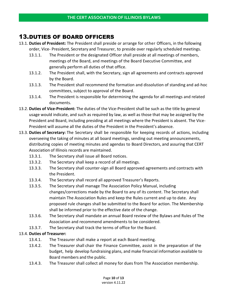# 13.DUTIES OF BOARD OFFICERS

- 13.1. **Duties of President:** The President shall preside or arrange for other Officers, in the following order, Vice- President, Secretary and Treasurer, to preside over regularly scheduled meetings.
	- 13.1.1. The President or the designated Officer shall preside at all meetings of members, meetings of the Board, and meetings of the Board Executive Committee, and generally perform all duties of that office.
	- 13.1.2. The President shall, with the Secretary, sign all agreements and contracts approved by the Board.
	- 13.1.3. The President shall recommend the formation and dissolution of standing and ad-hoc committees, subject to approval of the Board.
	- 13.1.4. The President is responsible for determining the agenda for all meetings and related documents.
- 13.2. **Duties of Vice-President:** The duties of the Vice-President shall be such as the title by general usage would indicate, and such as required by law, as well as those that may be assigned by the President and Board, including presiding at all meetings where the President is absent. The Vice-President will assume all the duties of the President in the President's absence.
- 13.3. **Duties of Secretary:** The Secretary shall be responsible for keeping records of actions, including overseeing the taking of minutes at all board meetings, sending out meeting announcements, distributing copies of meeting minutes and agendas to Board Directors, and assuring that CERT Association of Illinois records are maintained.
	- 13.3.1. The Secretary shall issue all Board notices.
	- 13.3.2. The Secretary shall keep a record of all meetings.
	- 13.3.3. The Secretary shall counter-sign all Board approved agreements and contracts with the President.
	- 13.3.4. The Secretary shall record all approved Treasurer's Reports.
	- 13.3.5. The Secretary shall manage The Association Policy Manual, including changes/corrections made by the Board to any of its content. The Secretary shall maintain The Association Rules and keep the Rules current and up to date. Any proposed rule changes shall be submitted to the Board for action. The Membership shall be informed prior to the effective date of the change.
	- 13.3.6. The Secretary shall mandate an annual Board review of the Bylaws and Rules of The Association and recommend amendments to be considered.
	- 13.3.7. The Secretary shall track the terms of office for the Board.

## 13.4. **Duties of Treasurer:**

- 13.4.1. The Treasurer shall make a report at each Board meeting.
- 13.4.2. The Treasurer shall chair the Finance Committee, assist in the preparation of the budget, help develop fundraising plans, and make financial information available to Board members and the public.
- 13.4.3. The Treasurer shall collect all money for dues from The Association membership.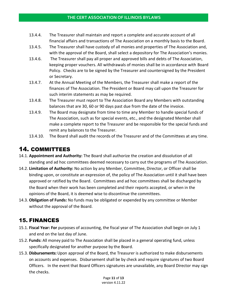#### **THE CERT ASSOCIATION OF ILLINOIS BYLAWS**

- 13.4.4. The Treasurer shall maintain and report a complete and accurate account of all financial affairs and transactions of The Association on a monthly basis to the Board.
- 13.4.5. The Treasurer shall have custody of all monies and properties of The Association and, with the approval of the Board, shall select a depository for The Association's monies.
- 13.4.6. The Treasurer shall pay all proper and approved bills and debts of The Association, keeping proper vouchers. All withdrawals of monies shall be in accordance with Board Policy. Checks are to be signed by the Treasurer and countersigned by the President or Secretary.
- 13.4.7. At the Annual Meeting of the Members, the Treasurer shall make a report of the finances of The Association. The President or Board may call upon the Treasurer for such interim statements as may be required.
- 13.4.8. The Treasurer must report to The Association Board any Members with outstanding balances that are 30, 60 or 90 days past due from the date of the invoice.
- 13.4.9. The Board may designate from time to time any Member to handle special funds of The Association, such as for special events, etc., and the designated Member shall make a complete report to the Treasurer and be responsible for the special funds and remit any balances to the Treasurer.
- 13.4.10. The Board shall audit the records of the Treasurer and of the Committees at any time.

# 14. COMMITTEES

- 14.1. **Appointment and Authority:** The Board shall authorize the creation and dissolution of all standing and ad hoc committees deemed necessary to carry out the programs of The Association.
- 14.2. **Limitation of Authority:** No action by any Member, Committee, Director, or Officer shall be binding upon, or constitute an expression of, the policy of The Association until it shall have been approved or ratified by the Board. Committees and ad hoc committees shall be discharged by the Board when their work has been completed and their reports accepted, or when in the opinions of the Board, it is deemed wise to discontinue the committees.
- 14.3. **Obligation of Funds:** No funds may be obligated or expended by any committee or Member without the approval of the Board.

# 15. FINANCES

- 15.1. **Fiscal Year: For** purposes of accounting, the fiscal year of The Association shall begin on July 1 and end on the last day of June.
- 15.2. **Funds:** All money paid to The Association shall be placed in a general operating fund, unless specifically designated for another purpose by the Board.
- 15.3. **Disbursements:** Upon approval of the Board, the Treasurer is authorized to make disbursements on accounts and expenses. Disbursement shall be by check and require signatures of two Board Officers. In the event that Board Officers signatures are unavailable, any Board Director may sign the checks.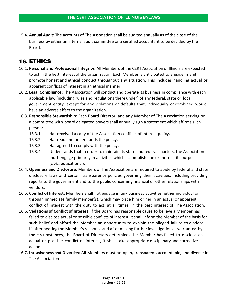15.4. **Annual Audit:** The accounts of The Association shall be audited annually as of the close of the business by either an internal audit committee or a certified accountant to be decided by the Board.

## 16. ETHICS

- 16.1. **Personal and Professional Integrity:** All Members of the CERT Association of Illinois are expected to act in the best interest of the organization. Each Member is anticipated to engage in and promote honest and ethical conduct throughout any situation. This includes handling actual or apparent conflicts of interest in an ethical manner.
- 16.2. **Legal Compliance:** The Association will conduct and operate its business in compliance with each applicable law (including rules and regulations there under) of any federal, state or local government entity, except for any violations or defaults that, individually or combined, would have an adverse effect to the organization.
- 16.3. **Responsible Stewardship:** Each Board Director, and any Member of The Association serving on a committee with board delegated powers shall annually sign a statement which affirms such person:
	- 16.3.1. Has received a copy of the Association conflicts of interest policy.
	- 16.3.2. Has read and understands the policy.
	- 16.3.3. Has agreed to comply with the policy.
	- 16.3.4. Understands that in order to maintain its state and federal charters, the Association must engage primarily in activities which accomplish one or more of its purposes (civic, educational).
- 16.4. **Openness and Disclosure:** Members of The Association are required to abide by federal and state disclosure laws and certain transparency policies governing their activities, including providing reports to the government and to the public concerning financial or other relationships with vendors.
- 16.5. **Conflict of Interest:** Members shall not engage in any business activities, either individual or through immediate family member(s), which may place him or her in an actual or apparent conflict of interest with the duty to act, at all times, in the best interest of The Association.
- 16.6. **Violations of Conflict of Interest:** If the Board has reasonable cause to believe a Member has failed to disclose actual or possible conflicts of interest, it shall inform the Member of the basis for such belief and afford the Member an opportunity to explain the alleged failure to disclose. If, after hearing the Member's response and after making further investigation as warranted by the circumstances, the Board of Directors determines the Member has failed to disclose an actual or possible conflict of interest, it shall take appropriate disciplinary and corrective action.
- 16.7. **Inclusiveness and Diversity:** All Members must be open, transparent, accountable, and diverse in The Association.